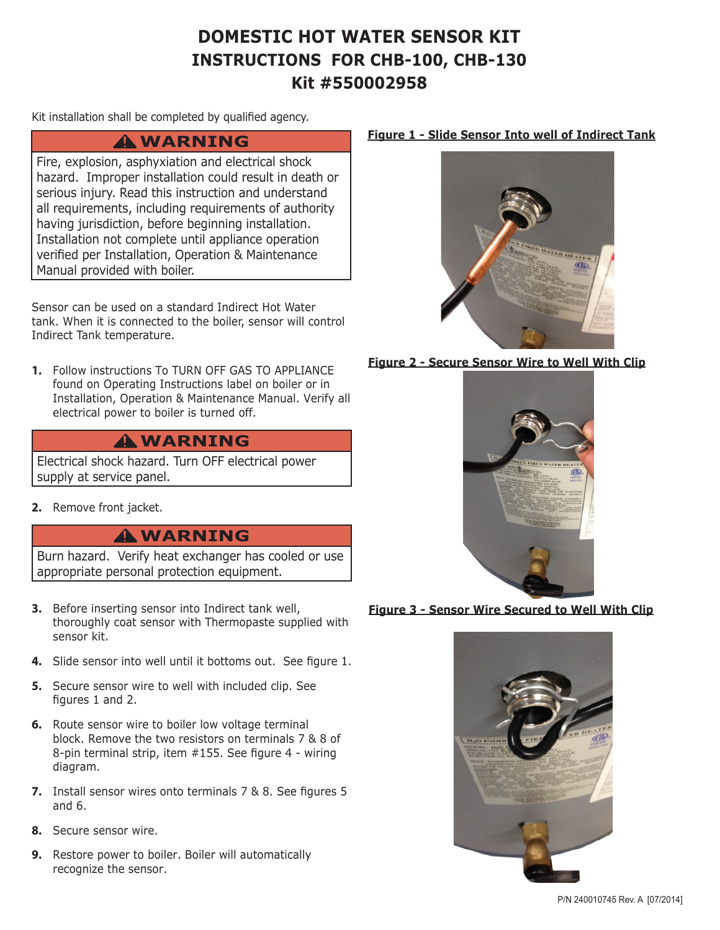# **DOMESTIC HOT WATER SENSOR KIT INSTRUCTIONS FOR CHB-100, CHB-130 Kit #550002958**

Kit installation shall be completed by qualified agency.

## **WARNING !**

Fire, explosion, asphyxiation and electrical shock hazard. Improper installation could result in death or serious injury. Read this instruction and understand all requirements, including requirements of authority having jurisdiction, before beginning installation. Installation not complete until appliance operation verified per Installation, Operation & Maintenance Manual provided with boiler.

Sensor can be used on a standard Indirect Hot Water tank. When it is connected to the boiler, sensor will control Indirect Tank temperature.

**1.** Follow instructions To TURN OFF GAS TO APPLIANCE found on Operating Instructions label on boiler or in Installation, Operation & Maintenance Manual. Verify all electrical power to boiler is turned off.

## **WARNING !**

Electrical shock hazard. Turn OFF electrical power supply at service panel.

**2.** Remove front jacket.

## **WARNING !**

Burn hazard. Verify heat exchanger has cooled or use appropriate personal protection equipment.

- **3.** Before inserting sensor into Indirect tank well, thoroughly coat sensor with Thermopaste supplied with sensor kit.
- **4.** Slide sensor into well until it bottoms out. See figure 1.
- **5.** Secure sensor wire to well with included clip. See figures 1 and 2.
- **6.** Route sensor wire to boiler low voltage terminal block. Remove the two resistors on terminals 7 & 8 of 8-pin terminal strip, item #155. See figure 4 - wiring diagram.
- **7.** Install sensor wires onto terminals 7 & 8. See figures 5 and 6.
- **8.** Secure sensor wire.
- **9.** Restore power to boiler. Boiler will automatically recognize the sensor.

### **Figure 1 - Slide Sensor Into well of Indirect Tank**



### **Figure 2 - Secure Sensor Wire to Well With Clip**



#### **Figure 3 - Sensor Wire Secured to Well With Clip**



P/N 240010745 Rev. A [07/2014]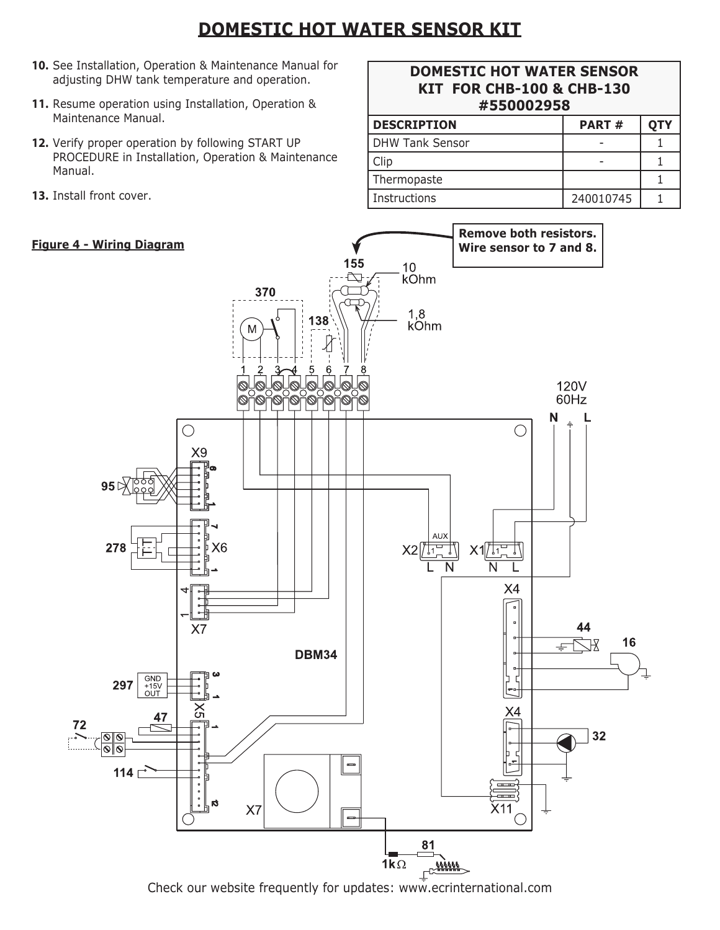# **DOMESTIC HOT WATER SENSOR KIT**

- **10.** See Installation, Operation & Maintenance Manual for adjusting DHW tank temperature and operation.
- **11.** Resume operation using Installation, Operation & Maintenance Manual.
- **12.** Verify proper operation by following START UP PROCEDURE in Installation, Operation & Maintenance Manual.
- **13.** Install front cover.

### **Figure 4 - Wiring Diagram**

| <b>DOMESTIC HOT WATER SENSOR</b><br><b>KIT FOR CHB-100 &amp; CHB-130</b><br>#550002958 |       |            |
|----------------------------------------------------------------------------------------|-------|------------|
| <b>DESCRIPTION</b>                                                                     | PART# | <b>QTY</b> |
| <b>DHW Tank Sensor</b>                                                                 |       |            |
| Clip                                                                                   |       |            |
| Thermopaste                                                                            |       |            |

Instructions 240010745 1